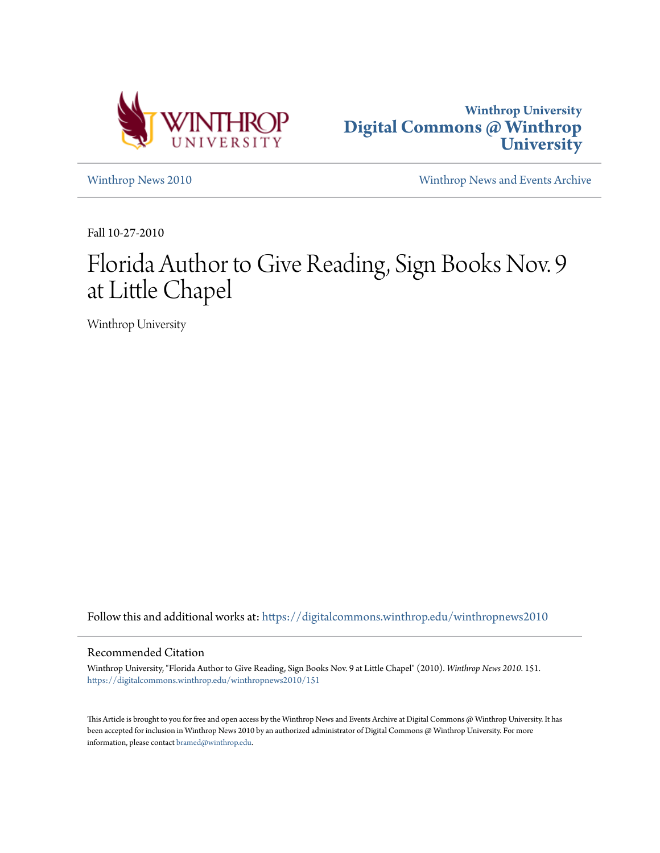



[Winthrop News 2010](https://digitalcommons.winthrop.edu/winthropnews2010?utm_source=digitalcommons.winthrop.edu%2Fwinthropnews2010%2F151&utm_medium=PDF&utm_campaign=PDFCoverPages) [Winthrop News and Events Archive](https://digitalcommons.winthrop.edu/winthropnewsarchives?utm_source=digitalcommons.winthrop.edu%2Fwinthropnews2010%2F151&utm_medium=PDF&utm_campaign=PDFCoverPages)

Fall 10-27-2010

# Florida Author to Give Reading, Sign Books Nov. 9 at Little Chapel

Winthrop University

Follow this and additional works at: [https://digitalcommons.winthrop.edu/winthropnews2010](https://digitalcommons.winthrop.edu/winthropnews2010?utm_source=digitalcommons.winthrop.edu%2Fwinthropnews2010%2F151&utm_medium=PDF&utm_campaign=PDFCoverPages)

### Recommended Citation

Winthrop University, "Florida Author to Give Reading, Sign Books Nov. 9 at Little Chapel" (2010). *Winthrop News 2010*. 151. [https://digitalcommons.winthrop.edu/winthropnews2010/151](https://digitalcommons.winthrop.edu/winthropnews2010/151?utm_source=digitalcommons.winthrop.edu%2Fwinthropnews2010%2F151&utm_medium=PDF&utm_campaign=PDFCoverPages)

This Article is brought to you for free and open access by the Winthrop News and Events Archive at Digital Commons @ Winthrop University. It has been accepted for inclusion in Winthrop News 2010 by an authorized administrator of Digital Commons @ Winthrop University. For more information, please contact [bramed@winthrop.edu](mailto:bramed@winthrop.edu).